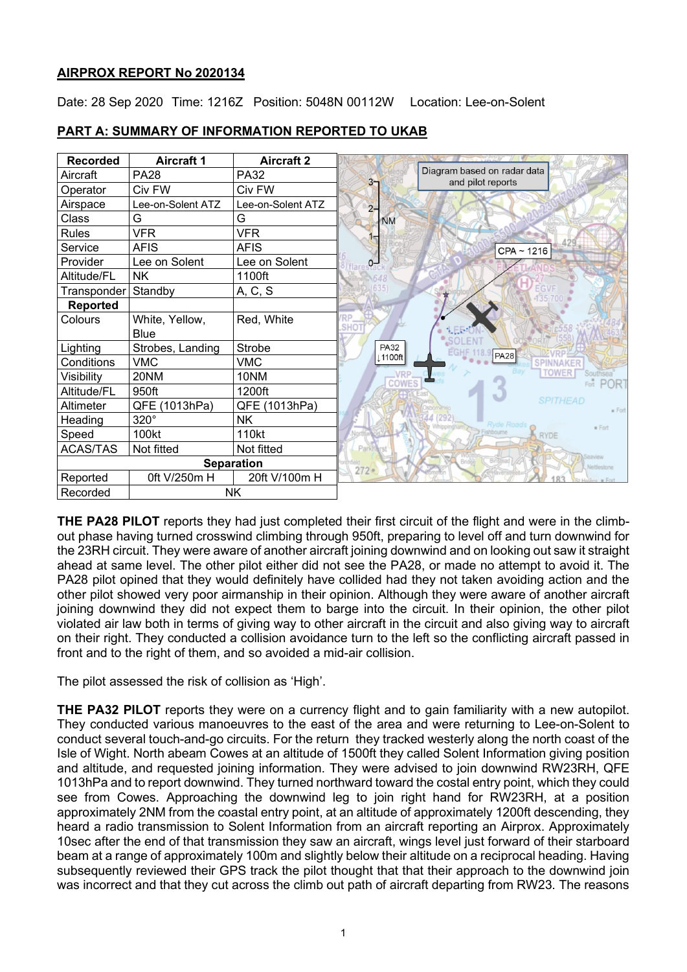# **AIRPROX REPORT No 2020134**

Date: 28 Sep 2020 Time: 1216Z Position: 5048N 00112W Location: Lee-on-Solent

| <b>Recorded</b>   | <b>Aircraft 1</b> | <b>Aircraft 2</b> |                |                                                  |
|-------------------|-------------------|-------------------|----------------|--------------------------------------------------|
| Aircraft          | <b>PA28</b>       | <b>PA32</b>       | 3 <sub>7</sub> | Diagram based on radar data<br>and pilot reports |
| Operator          | Civ FW            | Civ FW            |                |                                                  |
| Airspace          | Lee-on-Solent ATZ | Lee-on-Solent ATZ | $2 -$          |                                                  |
| Class             | G                 | G                 | <b>NM</b>      |                                                  |
| <b>Rules</b>      | <b>VFR</b>        | <b>VFR</b>        |                |                                                  |
| Service           | <b>AFIS</b>       | <b>AFIS</b>       |                | CPA ~ 1216                                       |
| Provider          | Lee on Solent     | Lee on Solent     |                |                                                  |
| Altitude/FL       | <b>NK</b>         | 1100ft            |                |                                                  |
| Transponder       | Standby           | A, C, S           |                |                                                  |
| <b>Reported</b>   |                   |                   |                |                                                  |
| Colours           | White, Yellow,    | Red, White        |                |                                                  |
|                   | <b>Blue</b>       |                   |                |                                                  |
| Lighting          | Strobes, Landing  | Strobe            | <b>PA32</b>    | <b>PA28</b>                                      |
| Conditions        | <b>VMC</b>        | <b>VMC</b>        | 1100ft         |                                                  |
| Visibility        | 20NM              | 10NM              | VRP<br>COWES   |                                                  |
| Altitude/FL       | 950ft             | 1200ft            |                |                                                  |
| Altimeter         | QFE (1013hPa)     | QFE (1013hPa)     |                |                                                  |
| Heading           | 320°              | <b>NK</b>         |                | <b>Ryde Roads</b>                                |
| Speed             | 100kt             | 110kt             |                |                                                  |
| <b>ACAS/TAS</b>   | Not fitted        | Not fitted        | Parkhurst      |                                                  |
| <b>Separation</b> |                   |                   | $272 -$        |                                                  |
| Reported          | 0ft V/250m H      | 20ft V/100m H     |                |                                                  |
| Recorded          |                   | <b>NK</b>         |                |                                                  |

# **PART A: SUMMARY OF INFORMATION REPORTED TO UKAB**

**THE PA28 PILOT** reports they had just completed their first circuit of the flight and were in the climbout phase having turned crosswind climbing through 950ft, preparing to level off and turn downwind for the 23RH circuit. They were aware of another aircraft joining downwind and on looking out saw it straight ahead at same level. The other pilot either did not see the PA28, or made no attempt to avoid it. The PA28 pilot opined that they would definitely have collided had they not taken avoiding action and the other pilot showed very poor airmanship in their opinion. Although they were aware of another aircraft joining downwind they did not expect them to barge into the circuit. In their opinion, the other pilot violated air law both in terms of giving way to other aircraft in the circuit and also giving way to aircraft on their right. They conducted a collision avoidance turn to the left so the conflicting aircraft passed in front and to the right of them, and so avoided a mid-air collision.

The pilot assessed the risk of collision as 'High'.

**THE PA32 PILOT** reports they were on a currency flight and to gain familiarity with a new autopilot. They conducted various manoeuvres to the east of the area and were returning to Lee-on-Solent to conduct several touch-and-go circuits. For the return they tracked westerly along the north coast of the Isle of Wight. North abeam Cowes at an altitude of 1500ft they called Solent Information giving position and altitude, and requested joining information. They were advised to join downwind RW23RH, QFE 1013hPa and to report downwind. They turned northward toward the costal entry point, which they could see from Cowes. Approaching the downwind leg to join right hand for RW23RH, at a position approximately 2NM from the coastal entry point, at an altitude of approximately 1200ft descending, they heard a radio transmission to Solent Information from an aircraft reporting an Airprox. Approximately 10sec after the end of that transmission they saw an aircraft, wings level just forward of their starboard beam at a range of approximately 100m and slightly below their altitude on a reciprocal heading. Having subsequently reviewed their GPS track the pilot thought that that their approach to the downwind join was incorrect and that they cut across the climb out path of aircraft departing from RW23. The reasons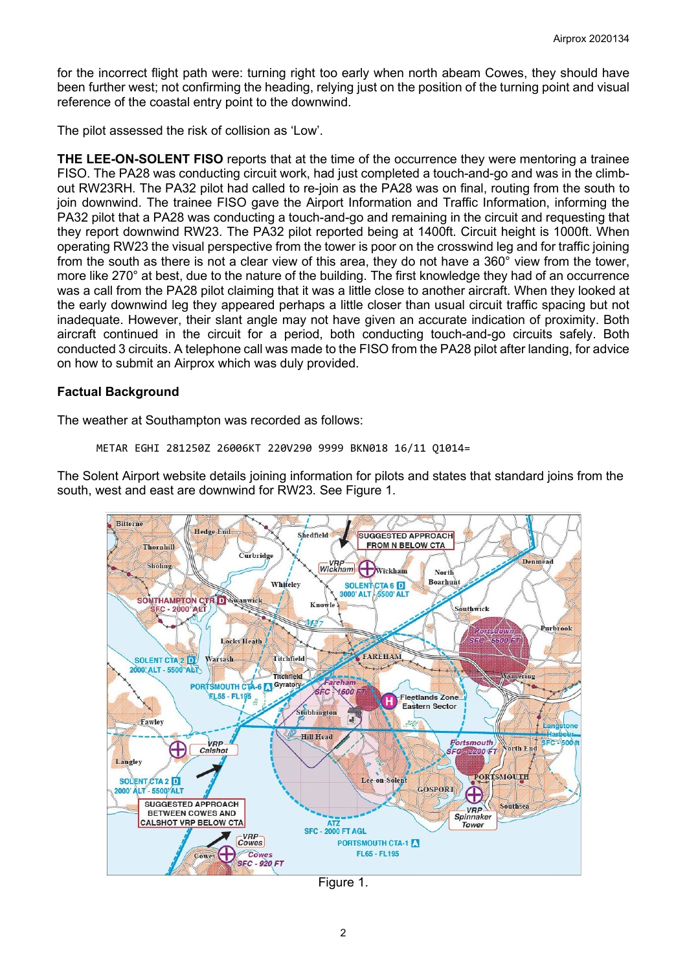for the incorrect flight path were: turning right too early when north abeam Cowes, they should have been further west; not confirming the heading, relying just on the position of the turning point and visual reference of the coastal entry point to the downwind.

The pilot assessed the risk of collision as 'Low'.

**THE LEE-ON-SOLENT FISO** reports that at the time of the occurrence they were mentoring a trainee FISO. The PA28 was conducting circuit work, had just completed a touch-and-go and was in the climbout RW23RH. The PA32 pilot had called to re-join as the PA28 was on final, routing from the south to join downwind. The trainee FISO gave the Airport Information and Traffic Information, informing the PA32 pilot that a PA28 was conducting a touch-and-go and remaining in the circuit and requesting that they report downwind RW23. The PA32 pilot reported being at 1400ft. Circuit height is 1000ft. When operating RW23 the visual perspective from the tower is poor on the crosswind leg and for traffic joining from the south as there is not a clear view of this area, they do not have a 360° view from the tower, more like 270° at best, due to the nature of the building. The first knowledge they had of an occurrence was a call from the PA28 pilot claiming that it was a little close to another aircraft. When they looked at the early downwind leg they appeared perhaps a little closer than usual circuit traffic spacing but not inadequate. However, their slant angle may not have given an accurate indication of proximity. Both aircraft continued in the circuit for a period, both conducting touch-and-go circuits safely. Both conducted 3 circuits. A telephone call was made to the FISO from the PA28 pilot after landing, for advice on how to submit an Airprox which was duly provided.

## **Factual Background**

The weather at Southampton was recorded as follows:

```
METAR EGHI 281250Z 26006KT 220V290 9999 BKN018 16/11 Q1014=
```
The Solent Airport website details joining information for pilots and states that standard joins from the south, west and east are downwind for RW23. See Figure 1.



Figure 1.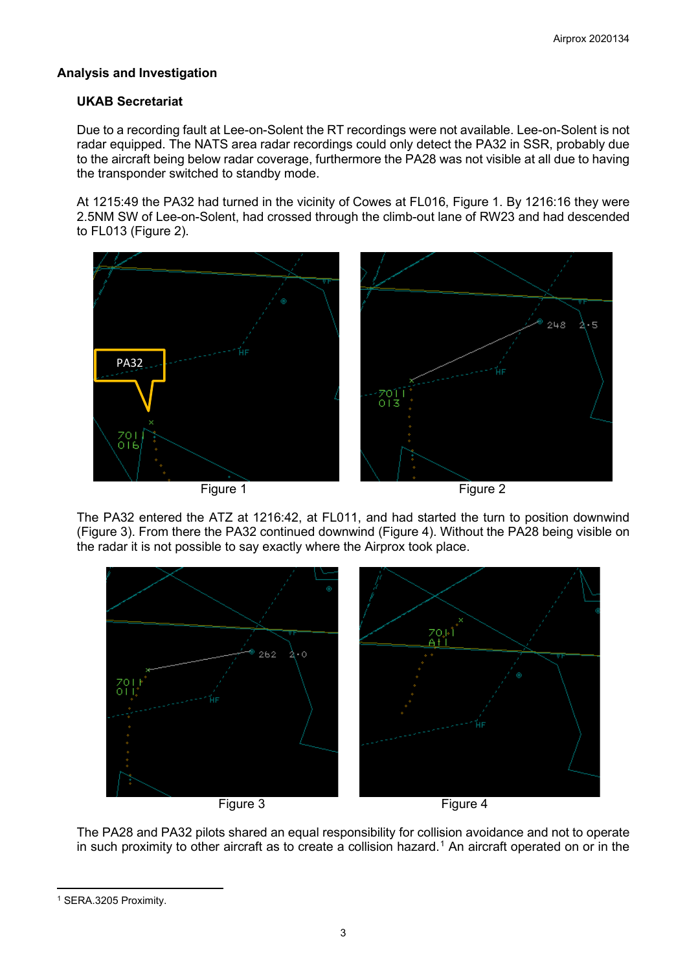# **Analysis and Investigation**

# **UKAB Secretariat**

Due to a recording fault at Lee-on-Solent the RT recordings were not available. Lee-on-Solent is not radar equipped. The NATS area radar recordings could only detect the PA32 in SSR, probably due to the aircraft being below radar coverage, furthermore the PA28 was not visible at all due to having the transponder switched to standby mode.

At 1215:49 the PA32 had turned in the vicinity of Cowes at FL016, Figure 1. By 1216:16 they were 2.5NM SW of Lee-on-Solent, had crossed through the climb-out lane of RW23 and had descended to FL013 (Figure 2).



The PA32 entered the ATZ at 1216:42, at FL011, and had started the turn to position downwind (Figure 3). From there the PA32 continued downwind (Figure 4). Without the PA28 being visible on the radar it is not possible to say exactly where the Airprox took place.



The PA28 and PA32 pilots shared an equal responsibility for collision avoidance and not to operate in such proximity to other aircraft as to create a collision hazard. [1](#page-2-0) An aircraft operated on or in the

<span id="page-2-0"></span><sup>1</sup> SERA.3205 Proximity.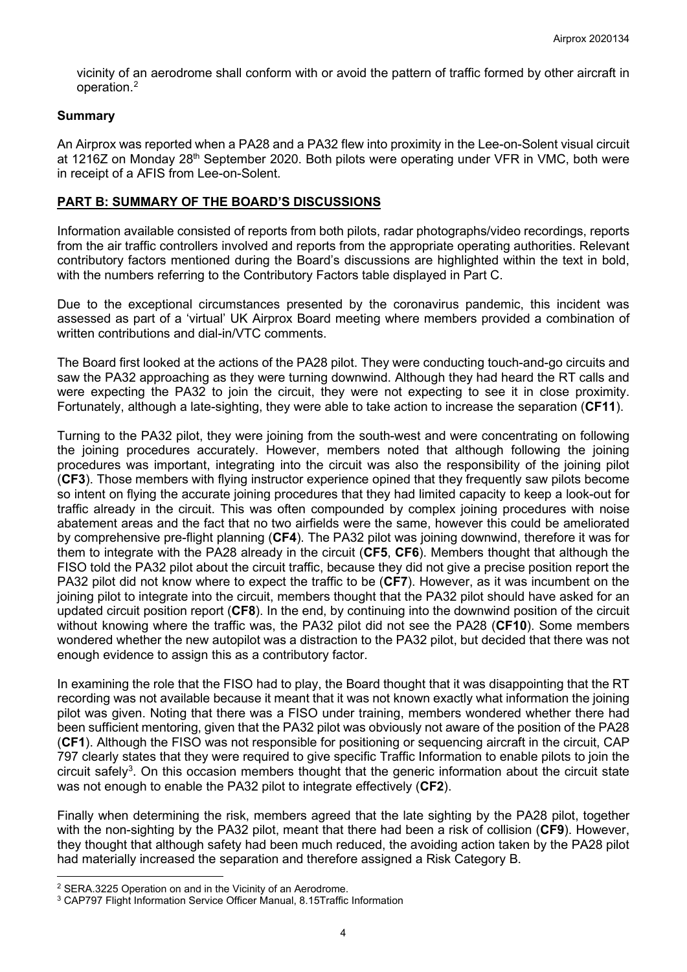vicinity of an aerodrome shall conform with or avoid the pattern of traffic formed by other aircraft in operation. [2](#page-3-0)

## **Summary**

An Airprox was reported when a PA28 and a PA32 flew into proximity in the Lee-on-Solent visual circuit at 1216Z on Monday 28<sup>th</sup> September 2020. Both pilots were operating under VFR in VMC, both were in receipt of a AFIS from Lee-on-Solent.

## **PART B: SUMMARY OF THE BOARD'S DISCUSSIONS**

Information available consisted of reports from both pilots, radar photographs/video recordings, reports from the air traffic controllers involved and reports from the appropriate operating authorities. Relevant contributory factors mentioned during the Board's discussions are highlighted within the text in bold, with the numbers referring to the Contributory Factors table displayed in Part C.

Due to the exceptional circumstances presented by the coronavirus pandemic, this incident was assessed as part of a 'virtual' UK Airprox Board meeting where members provided a combination of written contributions and dial-in/VTC comments.

The Board first looked at the actions of the PA28 pilot. They were conducting touch-and-go circuits and saw the PA32 approaching as they were turning downwind. Although they had heard the RT calls and were expecting the PA32 to join the circuit, they were not expecting to see it in close proximity. Fortunately, although a late-sighting, they were able to take action to increase the separation (**CF11**).

Turning to the PA32 pilot, they were joining from the south-west and were concentrating on following the joining procedures accurately. However, members noted that although following the joining procedures was important, integrating into the circuit was also the responsibility of the joining pilot (**CF3**). Those members with flying instructor experience opined that they frequently saw pilots become so intent on flying the accurate joining procedures that they had limited capacity to keep a look-out for traffic already in the circuit. This was often compounded by complex joining procedures with noise abatement areas and the fact that no two airfields were the same, however this could be ameliorated by comprehensive pre-flight planning (**CF4**). The PA32 pilot was joining downwind, therefore it was for them to integrate with the PA28 already in the circuit (**CF5**, **CF6**). Members thought that although the FISO told the PA32 pilot about the circuit traffic, because they did not give a precise position report the PA32 pilot did not know where to expect the traffic to be (**CF7**). However, as it was incumbent on the joining pilot to integrate into the circuit, members thought that the PA32 pilot should have asked for an updated circuit position report (**CF8**). In the end, by continuing into the downwind position of the circuit without knowing where the traffic was, the PA32 pilot did not see the PA28 (**CF10**). Some members wondered whether the new autopilot was a distraction to the PA32 pilot, but decided that there was not enough evidence to assign this as a contributory factor.

In examining the role that the FISO had to play, the Board thought that it was disappointing that the RT recording was not available because it meant that it was not known exactly what information the joining pilot was given. Noting that there was a FISO under training, members wondered whether there had been sufficient mentoring, given that the PA32 pilot was obviously not aware of the position of the PA28 (**CF1**). Although the FISO was not responsible for positioning or sequencing aircraft in the circuit, CAP 797 clearly states that they were required to give specific Traffic Information to enable pilots to join the circuit safely<sup>3</sup>. On this occasion members thought that the generic information about the circuit state was not enough to enable the PA32 pilot to integrate effectively (**CF2**).

Finally when determining the risk, members agreed that the late sighting by the PA28 pilot, together with the non-sighting by the PA32 pilot, meant that there had been a risk of collision (**CF9**). However, they thought that although safety had been much reduced, the avoiding action taken by the PA28 pilot had materially increased the separation and therefore assigned a Risk Category B.

<span id="page-3-0"></span><sup>2</sup> SERA.3225 Operation on and in the Vicinity of an Aerodrome.

<span id="page-3-1"></span><sup>3</sup> CAP797 Flight Information Service Officer Manual, 8.15Traffic Information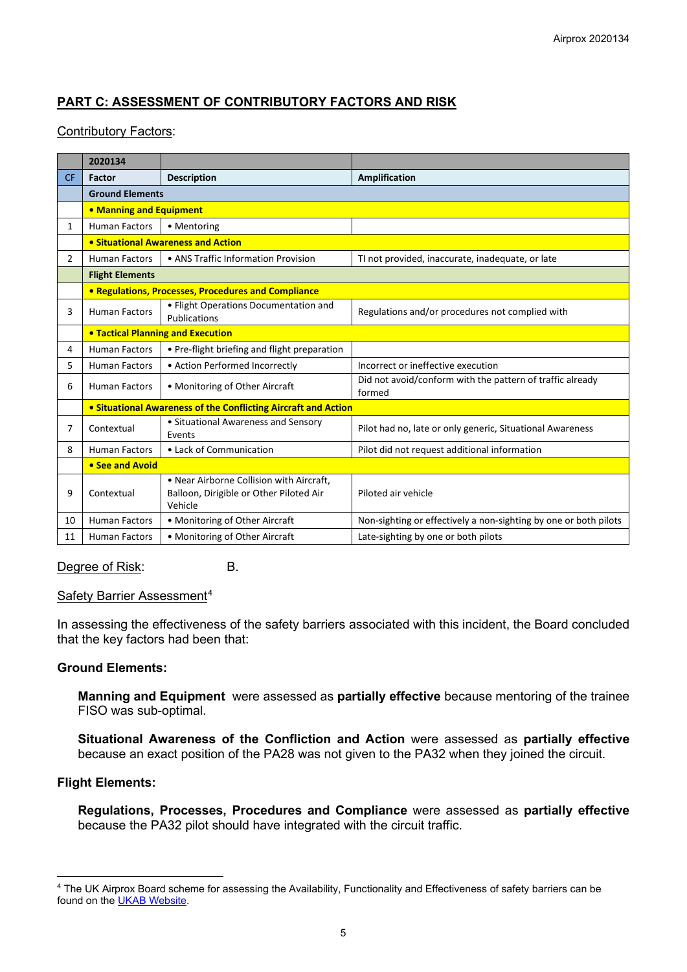# **PART C: ASSESSMENT OF CONTRIBUTORY FACTORS AND RISK**

### Contributory Factors:

|                | 2020134                            |                                                                                                |                                                                     |  |  |  |  |  |  |
|----------------|------------------------------------|------------------------------------------------------------------------------------------------|---------------------------------------------------------------------|--|--|--|--|--|--|
| <b>CF</b>      | Factor                             | <b>Description</b>                                                                             | Amplification                                                       |  |  |  |  |  |  |
|                | <b>Ground Elements</b>             |                                                                                                |                                                                     |  |  |  |  |  |  |
|                | • Manning and Equipment            |                                                                                                |                                                                     |  |  |  |  |  |  |
| $\mathbf{1}$   | <b>Human Factors</b>               | • Mentoring                                                                                    |                                                                     |  |  |  |  |  |  |
|                | • Situational Awareness and Action |                                                                                                |                                                                     |  |  |  |  |  |  |
| $\overline{2}$ | <b>Human Factors</b>               | • ANS Traffic Information Provision                                                            | TI not provided, inaccurate, inadequate, or late                    |  |  |  |  |  |  |
|                | <b>Flight Elements</b>             |                                                                                                |                                                                     |  |  |  |  |  |  |
|                |                                    | • Regulations, Processes, Procedures and Compliance                                            |                                                                     |  |  |  |  |  |  |
| 3              | <b>Human Factors</b>               | • Flight Operations Documentation and<br>Publications                                          | Regulations and/or procedures not complied with                     |  |  |  |  |  |  |
|                |                                    | <b>• Tactical Planning and Execution</b>                                                       |                                                                     |  |  |  |  |  |  |
| 4              | <b>Human Factors</b>               | • Pre-flight briefing and flight preparation                                                   |                                                                     |  |  |  |  |  |  |
| 5.             | <b>Human Factors</b>               | • Action Performed Incorrectly                                                                 | Incorrect or ineffective execution                                  |  |  |  |  |  |  |
| 6              | <b>Human Factors</b>               | • Monitoring of Other Aircraft                                                                 | Did not avoid/conform with the pattern of traffic already<br>formed |  |  |  |  |  |  |
|                |                                    | <b>• Situational Awareness of the Conflicting Aircraft and Action</b>                          |                                                                     |  |  |  |  |  |  |
| 7              | Contextual                         | • Situational Awareness and Sensory<br>Events                                                  | Pilot had no, late or only generic, Situational Awareness           |  |  |  |  |  |  |
| 8              | <b>Human Factors</b>               | • Lack of Communication                                                                        | Pilot did not request additional information                        |  |  |  |  |  |  |
|                | • See and Avoid                    |                                                                                                |                                                                     |  |  |  |  |  |  |
| 9              | Contextual                         | • Near Airborne Collision with Aircraft,<br>Balloon, Dirigible or Other Piloted Air<br>Vehicle | Piloted air vehicle                                                 |  |  |  |  |  |  |
| 10             | <b>Human Factors</b>               | • Monitoring of Other Aircraft                                                                 | Non-sighting or effectively a non-sighting by one or both pilots    |  |  |  |  |  |  |
| 11             | <b>Human Factors</b>               | • Monitoring of Other Aircraft                                                                 | Late-sighting by one or both pilots                                 |  |  |  |  |  |  |

#### Degree of Risk: B.

#### Safety Barrier Assessment<sup>[4](#page-4-0)</sup>

In assessing the effectiveness of the safety barriers associated with this incident, the Board concluded that the key factors had been that:

### **Ground Elements:**

**Manning and Equipment** were assessed as **partially effective** because mentoring of the trainee FISO was sub-optimal.

**Situational Awareness of the Confliction and Action** were assessed as **partially effective** because an exact position of the PA28 was not given to the PA32 when they joined the circuit.

# **Flight Elements:**

**Regulations, Processes, Procedures and Compliance** were assessed as **partially effective** because the PA32 pilot should have integrated with the circuit traffic.

<span id="page-4-0"></span><sup>4</sup> The UK Airprox Board scheme for assessing the Availability, Functionality and Effectiveness of safety barriers can be found on the [UKAB Website.](http://www.airproxboard.org.uk/Learn-more/Airprox-Barrier-Assessment/)